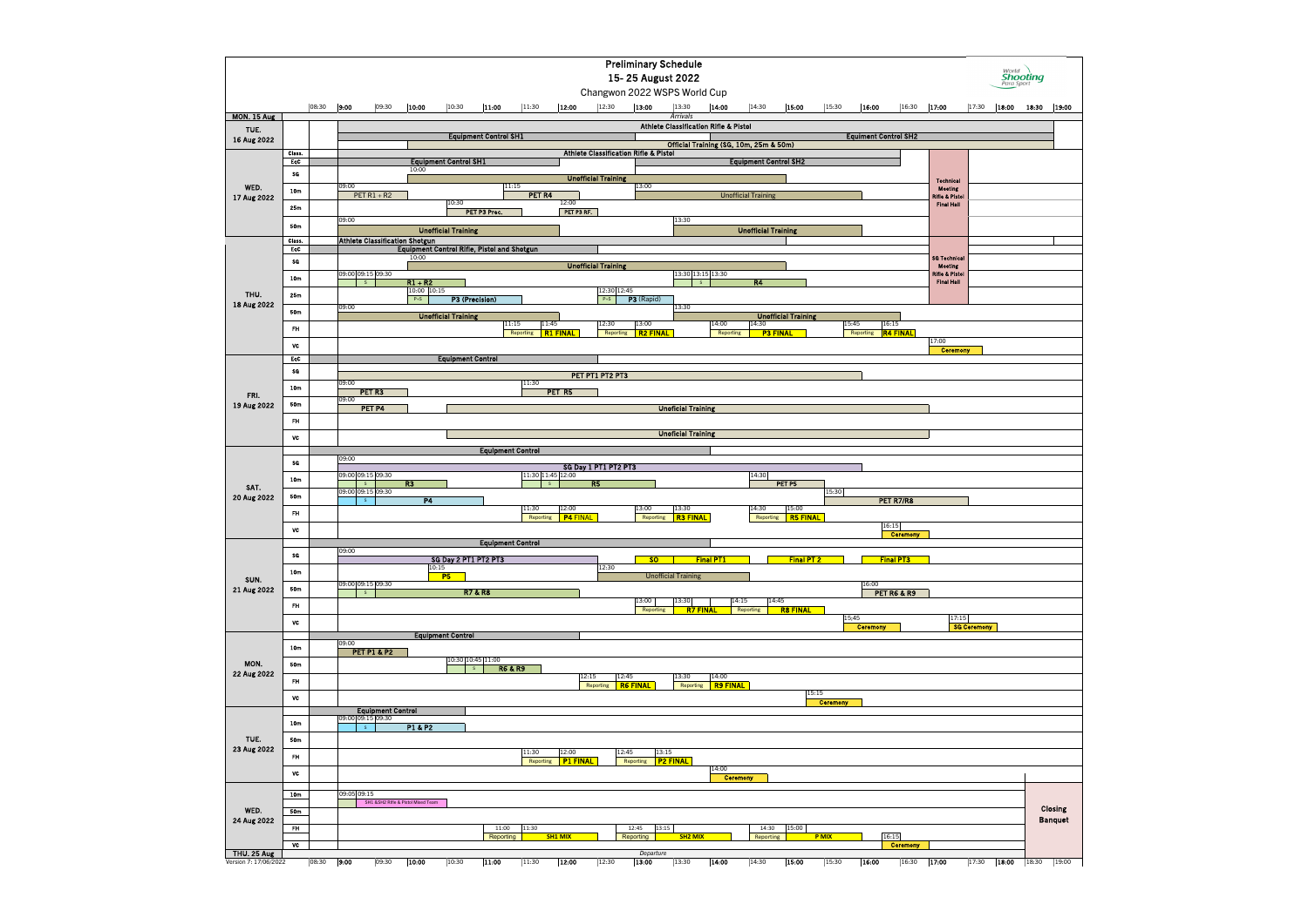|                       |                 |                           |                        |                          |                                       |                              |                                                    |                          |                          |                            | <b>Preliminary Schedule</b><br>15-25 August 2022<br>Changwon 2022 WSPS World Cup |                                                  |                          |                              |                            |                          |                          |                             |                                                |                    |       | World<br><b>Shooting</b><br>Para Sport |                |
|-----------------------|-----------------|---------------------------|------------------------|--------------------------|---------------------------------------|------------------------------|----------------------------------------------------|--------------------------|--------------------------|----------------------------|----------------------------------------------------------------------------------|--------------------------------------------------|--------------------------|------------------------------|----------------------------|--------------------------|--------------------------|-----------------------------|------------------------------------------------|--------------------|-------|----------------------------------------|----------------|
| <b>MON. 15 Aug</b>    |                 | 08:30                     | 9:00                   | 09:30                    | 10:00                                 | 10:30                        | 11:00                                              | 11:30                    | 12:00                    | 12:30                      | 13:00                                                                            | 13:30<br>Arrivals                                | 14:00                    | 14:30                        | 15:00                      | 15:30                    | 16:00                    | 16:30                       | 17:00                                          | 17:30              | 18:00 | 18:30                                  | 19:00          |
| TUE.                  |                 |                           |                        |                          |                                       |                              |                                                    |                          |                          |                            |                                                                                  | <b>Athlete Classification Rifle &amp; Pistol</b> |                          |                              |                            |                          |                          |                             |                                                |                    |       |                                        |                |
| 16 Aug 2022           |                 |                           |                        |                          |                                       |                              | <b>Equipment Control SH1</b>                       |                          |                          |                            |                                                                                  | Official Training (SG, 10m, 25m & 50m)           |                          |                              |                            |                          |                          | <b>Equiment Control SH2</b> |                                                |                    |       |                                        |                |
|                       | Class.<br>EqC   |                           |                        |                          |                                       | <b>Equipment Control SH1</b> |                                                    |                          |                          |                            | <b>Athlete Classification Rifle &amp; Pistol</b>                                 |                                                  |                          | <b>Equipment Control SH2</b> |                            |                          |                          |                             |                                                |                    |       |                                        |                |
|                       | SG              |                           |                        |                          | 10:00                                 |                              |                                                    |                          |                          | <b>Unofficial Training</b> |                                                                                  |                                                  |                          |                              |                            |                          |                          |                             |                                                |                    |       |                                        |                |
| WED.                  | 10 <sub>m</sub> |                           | 09:00                  | PET $R1 + R2$            |                                       |                              |                                                    | 11:15<br>PET R4          |                          |                            | 13:00                                                                            |                                                  |                          |                              |                            |                          |                          |                             | <b>Technical</b><br><b>Meeting</b>             |                    |       |                                        |                |
| 17 Aug 2022           | 25m             |                           |                        |                          |                                       | 10:30                        |                                                    |                          | 12:00                    |                            |                                                                                  |                                                  |                          | <b>Unofficial Training</b>   |                            |                          |                          |                             | <b>Rifle &amp; Pistol</b><br><b>Final Hall</b> |                    |       |                                        |                |
|                       |                 |                           | 09:00                  |                          |                                       |                              | PET P3 Prec.                                       |                          | PET P3 RF.               |                            |                                                                                  | 13:30                                            |                          |                              |                            |                          |                          |                             |                                                |                    |       |                                        |                |
|                       | 50m<br>Class.   |                           |                        |                          | <b>Athlete Classification Shotgun</b> | <b>Unofficial Training</b>   |                                                    |                          |                          |                            |                                                                                  |                                                  |                          | <b>Unofficial Training</b>   |                            |                          |                          |                             |                                                |                    |       |                                        |                |
|                       | EqC             |                           |                        |                          |                                       |                              | <b>Equipment Control Rifle, Pistol and Shotgun</b> |                          |                          |                            |                                                                                  |                                                  |                          |                              |                            |                          |                          |                             |                                                |                    |       |                                        |                |
|                       | SG              |                           |                        |                          | 10:00                                 |                              |                                                    |                          |                          | <b>Unofficial Training</b> |                                                                                  |                                                  |                          |                              |                            |                          |                          |                             | <b>SG Technical</b><br><b>Meeting</b>          |                    |       |                                        |                |
|                       | 10 <sub>m</sub> |                           | 09:00 09:15 09:30<br>S |                          | $R1 + R2$                             |                              |                                                    |                          |                          |                            |                                                                                  | 13:30 13:15 13:30<br>S                           |                          | <b>R4</b>                    |                            |                          |                          |                             | <b>Rifle &amp; Pistol</b><br><b>Final Hall</b> |                    |       |                                        |                |
| THU.                  | 25m             |                           |                        |                          | 10:00 10:15<br>$P+S$                  |                              | P3 (Precision)                                     |                          |                          | 12:30 12:45<br>$P+S$       | P3 (Rapid)                                                                       |                                                  |                          |                              |                            |                          |                          |                             |                                                |                    |       |                                        |                |
| 18 Aug 2022           | 50m             |                           | 09:00                  |                          |                                       | <b>Unofficial Training</b>   |                                                    |                          |                          |                            |                                                                                  | 13:30                                            |                          |                              | <b>Unofficial Training</b> |                          |                          |                             |                                                |                    |       |                                        |                |
|                       | FH.             |                           |                        |                          |                                       |                              |                                                    | 11:15<br>Reporting       | 11:45<br><b>R1 FINAL</b> | 12:30<br>Reporting         | 13:00<br><b>R2 FINAL</b>                                                         |                                                  | 14:00<br>Reporting       | 14:30                        | <b>P3 FINAL</b>            |                          | 15:45<br>Reporting       | 16:15<br><b>R4 FINAL</b>    |                                                |                    |       |                                        |                |
|                       | VC              |                           |                        |                          |                                       |                              |                                                    |                          |                          |                            |                                                                                  |                                                  |                          |                              |                            |                          |                          |                             | 17:00                                          |                    |       |                                        |                |
|                       | EqC             |                           |                        |                          |                                       | <b>Equipment Control</b>     |                                                    |                          |                          |                            |                                                                                  |                                                  |                          |                              |                            |                          |                          |                             | <b>Ceremony</b>                                |                    |       |                                        |                |
|                       | SG              |                           |                        |                          |                                       |                              |                                                    |                          |                          | PET PT1 PT2 PT3            |                                                                                  |                                                  |                          |                              |                            |                          |                          |                             |                                                |                    |       |                                        |                |
|                       | 10 <sub>m</sub> |                           | 09:00                  | PET R3                   |                                       |                              |                                                    | 11:30                    | PET R5                   |                            |                                                                                  |                                                  |                          |                              |                            |                          |                          |                             |                                                |                    |       |                                        |                |
| FRI.<br>19 Aug 2022   | 50m             |                           | 09:00                  | PET P4                   |                                       |                              |                                                    |                          |                          |                            |                                                                                  | <b>Unoficial Training</b>                        |                          |                              |                            |                          |                          |                             |                                                |                    |       |                                        |                |
|                       | FH              |                           |                        |                          |                                       |                              |                                                    |                          |                          |                            |                                                                                  |                                                  |                          |                              |                            |                          |                          |                             |                                                |                    |       |                                        |                |
|                       | VC              | <b>Unoficial Training</b> |                        |                          |                                       |                              |                                                    |                          |                          |                            |                                                                                  |                                                  |                          |                              |                            |                          |                          |                             |                                                |                    |       |                                        |                |
|                       |                 | <b>Equipment Control</b>  |                        |                          |                                       |                              |                                                    |                          |                          |                            |                                                                                  |                                                  |                          |                              |                            |                          |                          |                             |                                                |                    |       |                                        |                |
|                       | <b>SG</b>       |                           | 09:00                  |                          |                                       |                              |                                                    |                          |                          | SG Day 1 PT1 PT2 PT3       |                                                                                  |                                                  |                          |                              |                            |                          |                          |                             |                                                |                    |       |                                        |                |
| SAT.                  | 10 <sub>m</sub> |                           | 09:00 09:15 09:30<br>S |                          | R3                                    |                              |                                                    |                          | 11:30 11:45 12:00<br>S   | R5                         |                                                                                  |                                                  |                          | 14:30                        | PET P5                     |                          |                          |                             |                                                |                    |       |                                        |                |
| 20 Aug 2022           | 50m             |                           | 09:00 09:15 09:30<br>S |                          | <b>P4</b>                             |                              |                                                    |                          |                          |                            |                                                                                  |                                                  |                          |                              |                            | 15:30                    |                          | PET R7/R8                   |                                                |                    |       |                                        |                |
|                       | <b>FH</b>       |                           |                        |                          |                                       |                              |                                                    | 11:30<br>Reporting       | 12:00<br><b>P4 FINAL</b> |                            | 13:00<br>Reporting                                                               | 13:30<br><b>R3 FINAL</b>                         |                          | 14:30<br>Reporting           | 15:00<br><b>R5 FINAL</b>   |                          |                          |                             |                                                |                    |       |                                        |                |
|                       | VC              |                           |                        |                          |                                       |                              |                                                    |                          |                          |                            |                                                                                  |                                                  |                          |                              |                            |                          |                          | 16:15                       |                                                |                    |       |                                        |                |
|                       |                 |                           |                        |                          |                                       |                              |                                                    | <b>Equipment Control</b> |                          |                            |                                                                                  |                                                  |                          |                              |                            |                          |                          | <b>Ceremony</b>             |                                                |                    |       |                                        |                |
|                       | SG              |                           | 09:00                  |                          |                                       |                              | SG Day 2 PT1 PT2 PT3                               |                          |                          |                            | <b>SO</b>                                                                        |                                                  | <b>Final PT1</b>         |                              | Final PT 2                 |                          |                          | <b>Final PT3</b>            |                                                |                    |       |                                        |                |
| SUN.                  | 10 <sub>m</sub> |                           |                        |                          |                                       | 10:15<br><b>P5</b>           |                                                    |                          |                          | 12:30                      |                                                                                  | <b>Unofficial Training</b>                       |                          |                              |                            |                          |                          |                             |                                                |                    |       |                                        |                |
| 21 Aug 2022           | 50m             |                           | 09:00 09:15 09:30<br>S |                          |                                       |                              | <b>R7&amp;R8</b>                                   |                          |                          |                            |                                                                                  |                                                  |                          |                              |                            |                          | 16:00                    | <b>PET R6 &amp; R9</b>      |                                                |                    |       |                                        |                |
|                       | FH.             |                           |                        |                          |                                       |                              |                                                    |                          |                          |                            | 13:00<br>Reporting                                                               | 13:30<br><b>R7 FINAL</b>                         |                          | 14:15<br>Reporting           | 14:45<br><b>R8 FINAL</b>   |                          |                          |                             |                                                |                    |       |                                        |                |
|                       | VC              |                           |                        |                          |                                       |                              |                                                    |                          |                          |                            |                                                                                  |                                                  |                          |                              |                            |                          | 15;45<br><b>Ceremony</b> |                             | 17:15                                          | <b>SG Ceremony</b> |       |                                        |                |
|                       |                 |                           | 09:00                  |                          |                                       | <b>Equipment Control</b>     |                                                    |                          |                          |                            |                                                                                  |                                                  |                          |                              |                            |                          |                          |                             |                                                |                    |       |                                        |                |
|                       | 10 <sub>m</sub> |                           |                        | <b>PET P1 &amp; P2</b>   |                                       |                              |                                                    |                          |                          |                            |                                                                                  |                                                  |                          |                              |                            |                          |                          |                             |                                                |                    |       |                                        |                |
| MON.                  | 50 <sub>m</sub> |                           |                        |                          |                                       |                              | 10:30 10:45 11:00<br>S                             | <b>R6 &amp; R9</b>       |                          |                            |                                                                                  |                                                  |                          |                              |                            |                          |                          |                             |                                                |                    |       |                                        |                |
| 22 Aug 2022           | FH.             |                           |                        |                          |                                       |                              |                                                    |                          |                          | 12:15<br>Reporting         | 12:45<br><b>R6 FINAL</b>                                                         | 13:30<br>Reporting                               | 14:00<br><b>R9 FINAL</b> |                              |                            |                          |                          |                             |                                                |                    |       |                                        |                |
|                       | VC              |                           |                        |                          |                                       |                              |                                                    |                          |                          |                            |                                                                                  |                                                  |                          |                              |                            | 15:15<br><b>Ceremony</b> |                          |                             |                                                |                    |       |                                        |                |
|                       |                 |                           | 09:00 09:15 09:30      | <b>Equipment Control</b> |                                       |                              |                                                    |                          |                          |                            |                                                                                  |                                                  |                          |                              |                            |                          |                          |                             |                                                |                    |       |                                        |                |
|                       | 10 <sub>m</sub> |                           | S                      |                          | P1 & P2                               |                              |                                                    |                          |                          |                            |                                                                                  |                                                  |                          |                              |                            |                          |                          |                             |                                                |                    |       |                                        |                |
| TUE.                  | 50m             |                           |                        |                          |                                       |                              |                                                    |                          |                          |                            |                                                                                  |                                                  |                          |                              |                            |                          |                          |                             |                                                |                    |       |                                        |                |
| 23 Aug 2022           | FH.             |                           |                        |                          |                                       |                              |                                                    | 11:30<br>Reporting       | 12:00<br>P1 FINAL        |                            | 12:45<br>Reporting   P2 FINAL                                                    | 13:15                                            |                          |                              |                            |                          |                          |                             |                                                |                    |       |                                        |                |
|                       | VC              |                           |                        |                          |                                       |                              |                                                    |                          |                          |                            |                                                                                  |                                                  | 14:00                    | <b>Ceremony</b>              |                            |                          |                          |                             |                                                |                    |       |                                        |                |
|                       | 10 <sub>m</sub> |                           | 09:05 09:15            |                          |                                       |                              |                                                    |                          |                          |                            |                                                                                  |                                                  |                          |                              |                            |                          |                          |                             |                                                |                    |       |                                        |                |
|                       |                 |                           |                        |                          | SH1 &SH2 Rifle & Pistol Mixed Team    |                              |                                                    |                          |                          |                            |                                                                                  |                                                  |                          |                              |                            |                          |                          |                             |                                                |                    |       |                                        | <b>Closing</b> |
| WED.<br>24 Aug 2022   | 50m             |                           |                        |                          |                                       |                              |                                                    |                          |                          |                            |                                                                                  |                                                  |                          |                              |                            |                          |                          |                             |                                                |                    |       |                                        | <b>Banquet</b> |
|                       | <b>FH</b>       |                           |                        |                          |                                       |                              | 11:00<br>Reporting                                 | 11:30                    | <b>SH1 MIX</b>           |                            | 12:45<br>Reporting                                                               | 13:15<br><b>SH2 MIX</b>                          |                          | 14:30<br>Reporting           | 15:00                      | P MIX                    |                          | 16:15                       |                                                |                    |       |                                        |                |
| <b>THU. 25 Aug</b>    | <b>VC</b>       |                           |                        |                          |                                       |                              |                                                    |                          |                          |                            | Departure                                                                        |                                                  |                          |                              |                            |                          |                          | <b>Ceremony</b>             |                                                |                    |       |                                        |                |
| Version 7: 17/06/2022 |                 | 08:30                     | 9:00                   | $\overline{0}9:30$       | 10:00                                 | 10:30                        | 11:00                                              | 11:30                    | 12:00                    | 12:30                      | 13:00                                                                            | 13:30                                            | 14:00                    | 14:30                        | 15:00                      | 15:30                    | 16:00                    | 16:30                       | 17:00                                          | 17:30              | 18:00 | 18:30                                  | 19:00          |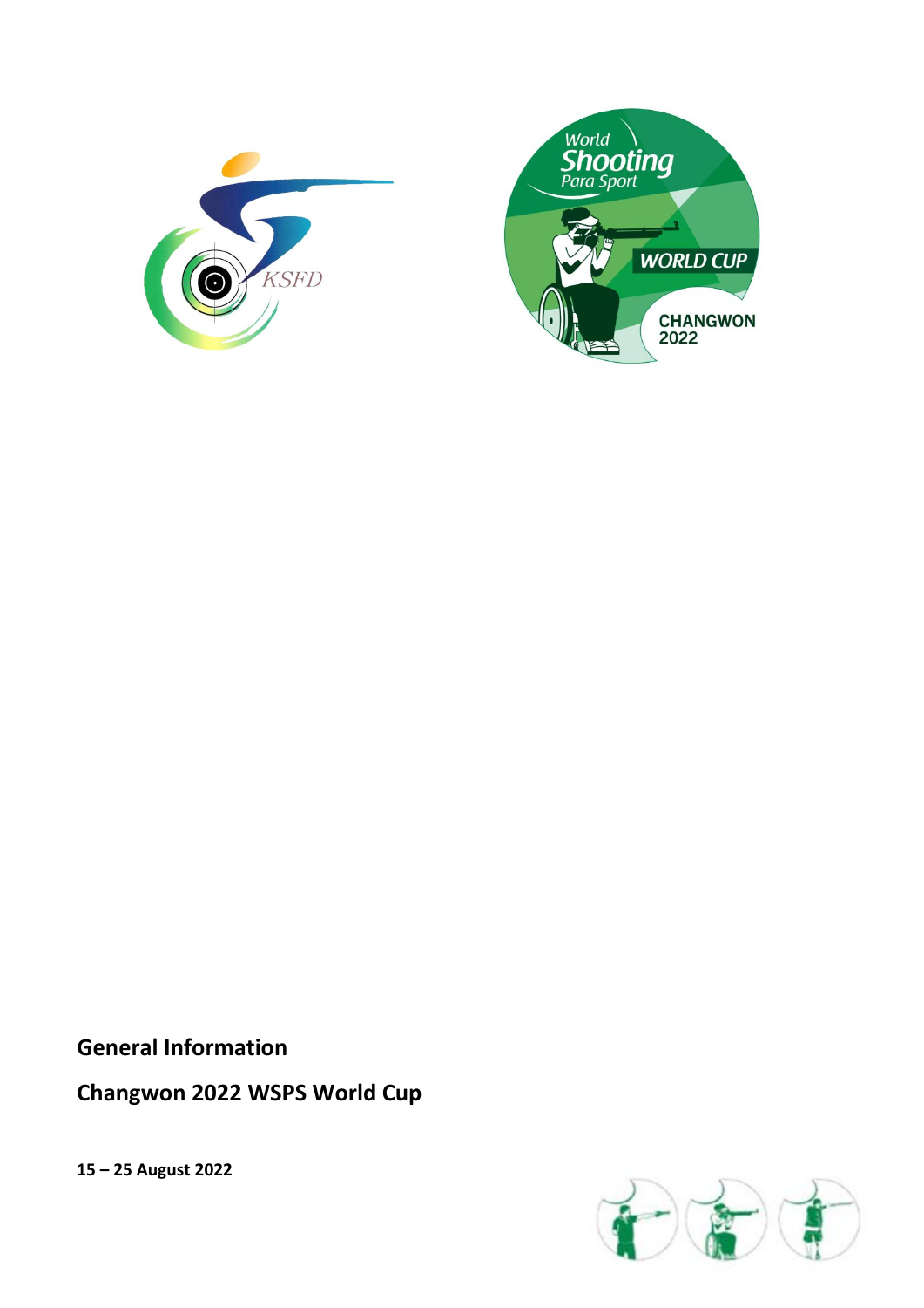



**General Information**

# **Changwon 2022 WSPS World Cup**

**15 – 25 August 2022**

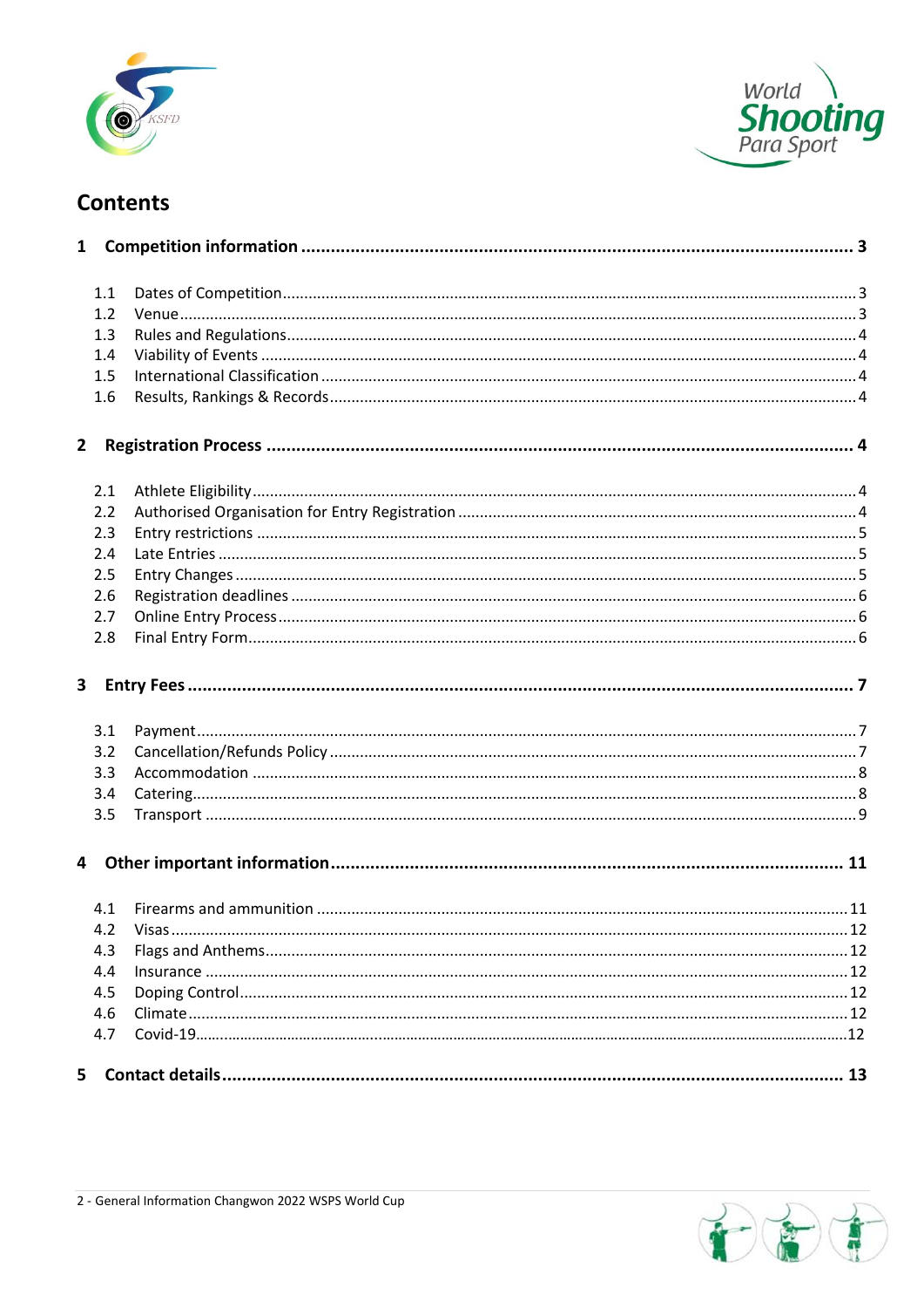



# **Contents**

| 1.1 |           |  |
|-----|-----------|--|
| 1.2 |           |  |
| 1.3 |           |  |
| 1.4 |           |  |
| 1.5 |           |  |
| 1.6 |           |  |
| 2   |           |  |
| 2.1 |           |  |
| 2.2 |           |  |
| 2.3 |           |  |
| 2.4 |           |  |
| 2.5 |           |  |
| 2.6 |           |  |
| 2.7 |           |  |
| 2.8 |           |  |
| 3   |           |  |
| 3.1 |           |  |
| 3.2 |           |  |
| 3.3 |           |  |
| 3.4 |           |  |
| 3.5 |           |  |
|     |           |  |
| 4.1 |           |  |
|     | 4.2 Visas |  |
| 4.3 |           |  |
| 4.4 |           |  |
| 4.5 |           |  |
| 4.6 |           |  |
| 4.7 |           |  |
| 5   |           |  |

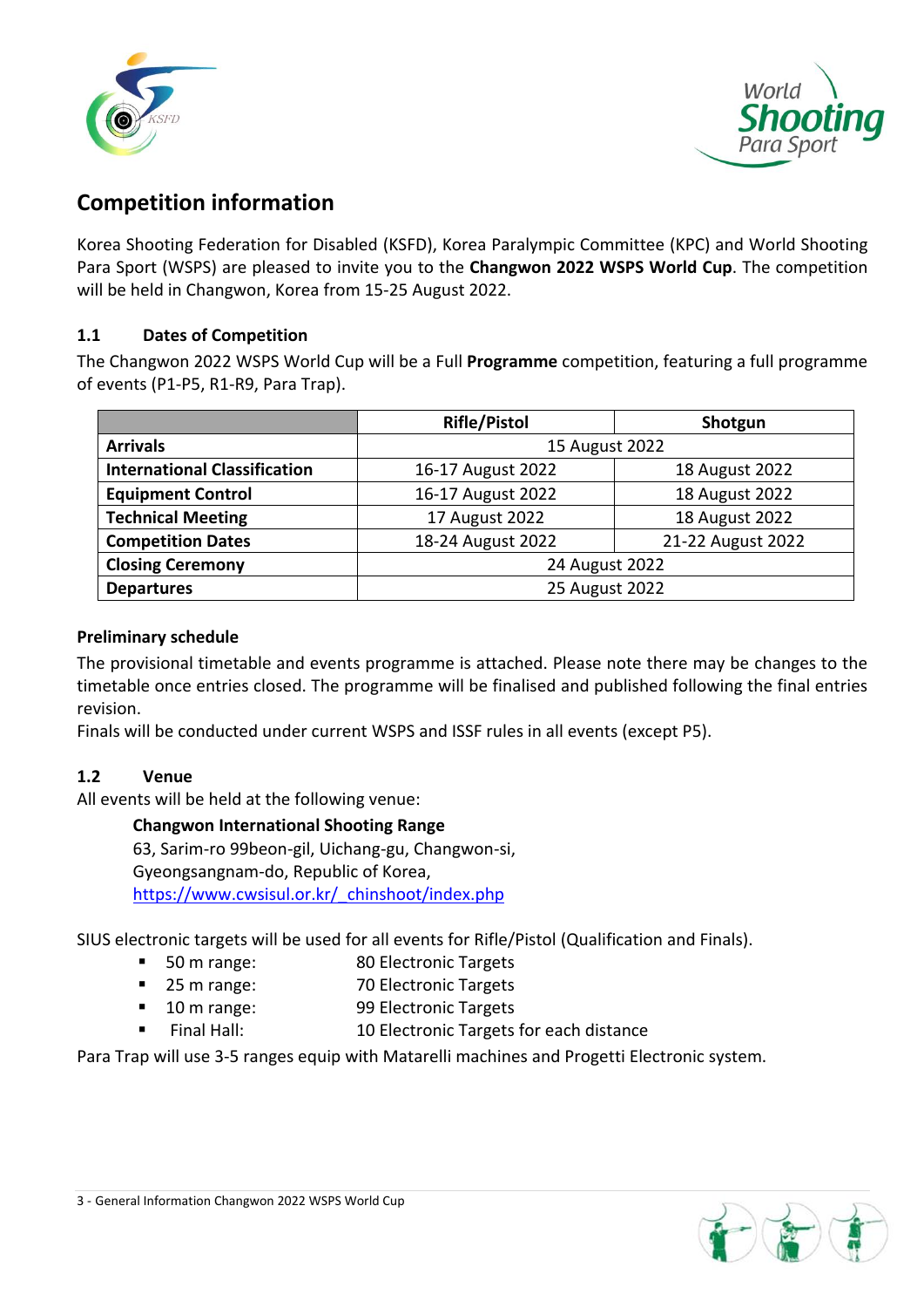



# **Competition information**

Korea Shooting Federation for Disabled (KSFD), Korea Paralympic Committee (KPC) and World Shooting Para Sport (WSPS) are pleased to invite you to the **Changwon 2022 WSPS World Cup**. The competition will be held in Changwon, Korea from 15-25 August 2022.

# **1.1 Dates of Competition**

The Changwon 2022 WSPS World Cup will be a Full **Programme** competition, featuring a full programme of events (P1-P5, R1-R9, Para Trap).

|                                     | <b>Rifle/Pistol</b> | Shotgun           |  |  |  |  |
|-------------------------------------|---------------------|-------------------|--|--|--|--|
| <b>Arrivals</b>                     | 15 August 2022      |                   |  |  |  |  |
| <b>International Classification</b> | 16-17 August 2022   | 18 August 2022    |  |  |  |  |
| <b>Equipment Control</b>            | 16-17 August 2022   | 18 August 2022    |  |  |  |  |
| <b>Technical Meeting</b>            | 17 August 2022      | 18 August 2022    |  |  |  |  |
| <b>Competition Dates</b>            | 18-24 August 2022   | 21-22 August 2022 |  |  |  |  |
| <b>Closing Ceremony</b>             | 24 August 2022      |                   |  |  |  |  |
| <b>Departures</b>                   | 25 August 2022      |                   |  |  |  |  |

### **Preliminary schedule**

The provisional timetable and events programme is attached. Please note there may be changes to the timetable once entries closed. The programme will be finalised and published following the final entries revision.

Finals will be conducted under current WSPS and ISSF rules in all events (except P5).

# **1.2 Venue**

All events will be held at the following venue:

**Changwon International Shooting Range** 63, Sarim-ro 99beon-gil, Uichang-gu, Changwon-si, Gyeongsangnam-do, Republic of Korea, [https://www.cwsisul.or.kr/\\_chinshoot/index.php](https://www.cwsisul.or.kr/_chinshoot/index.php)

SIUS electronic targets will be used for all events for Rifle/Pistol (Qualification and Finals).

- 50 m range: 80 Electronic Targets
- 25 m range: 70 Electronic Targets
- 10 m range: 99 Electronic Targets
- Final Hall: 10 Electronic Targets for each distance

Para Trap will use 3-5 ranges equip with Matarelli machines and Progetti Electronic system.

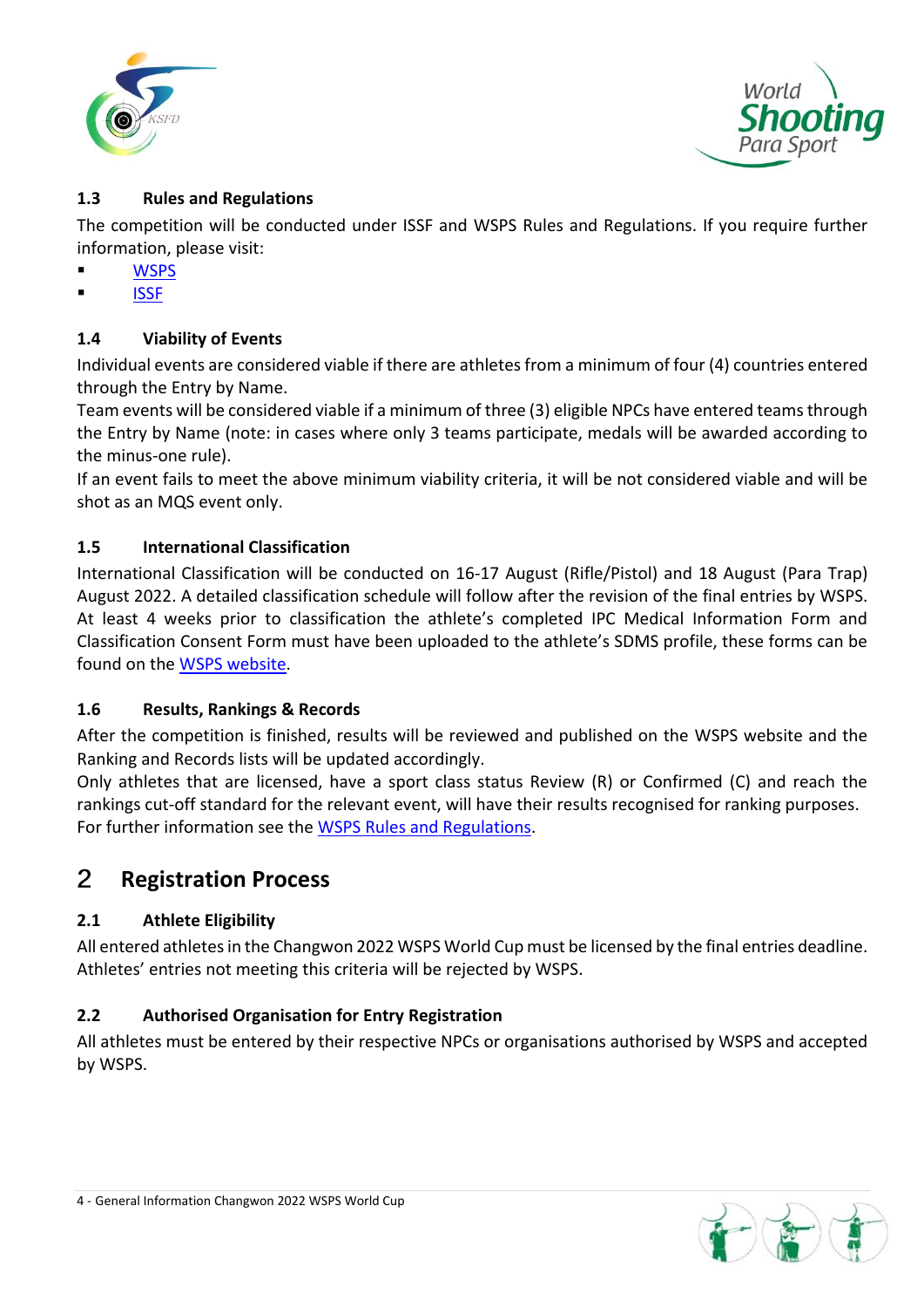



# **1.3 Rules and Regulations**

The competition will be conducted under ISSF and WSPS Rules and Regulations. If you require further information, please visit:

- **[WSPS](https://www.paralympic.org/shooting/rules-and-regulations/classification)**
- **[ISSF](http://www.issf-sports.org/theissf/rules.ashx)**

# **1.4 Viability of Events**

Individual events are considered viable if there are athletes from a minimum of four (4) countries entered through the Entry by Name.

Team events will be considered viable if a minimum of three (3) eligible NPCs have entered teams through the Entry by Name (note: in cases where only 3 teams participate, medals will be awarded according to the minus-one rule).

If an event fails to meet the above minimum viability criteria, it will be not considered viable and will be shot as an MQS event only.

# **1.5 International Classification**

International Classification will be conducted on 16-17 August (Rifle/Pistol) and 18 August (Para Trap) August 2022. A detailed classification schedule will follow after the revision of the final entries by WSPS. At least 4 weeks prior to classification the athlete's completed IPC Medical Information Form and Classification Consent Form must have been uploaded to the athlete's SDMS profile, these forms can be found on the **WSPS** website.

# **1.6 Results, Rankings & Records**

After the competition is finished, results will be reviewed and published on the WSPS website and the Ranking and Records lists will be updated accordingly.

Only athletes that are licensed, have a sport class status Review (R) or Confirmed (C) and reach the rankings cut-off standard for the relevant event, will have their results recognised for ranking purposes. For further information see the [WSPS Rules and Regulations.](https://www.paralympic.org/sites/default/files/document/190228090519483_World+Shooting+Para+Sport+Technical+Rules+-+Regulations_2019.pdf)

#### $\overline{2}$ **Registration Process**

# **2.1 Athlete Eligibility**

All entered athletes in the Changwon 2022 WSPS World Cup must be licensed by the final entries deadline. Athletes' entries not meeting this criteria will be rejected by WSPS.

# **2.2 Authorised Organisation for Entry Registration**

All athletes must be entered by their respective NPCs or organisations authorised by WSPS and accepted by WSPS.

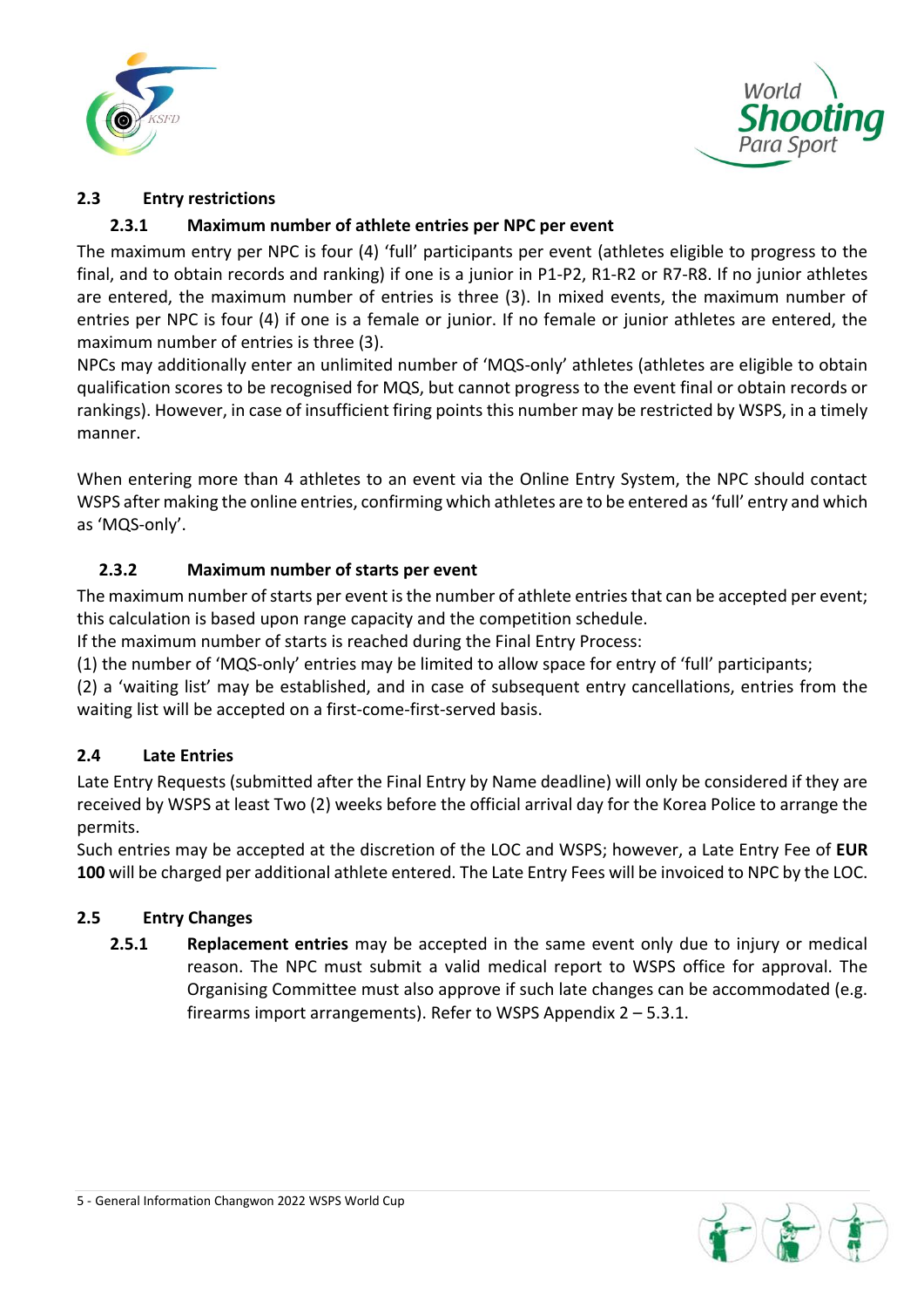



# **2.3 Entry restrictions**

# **2.3.1 Maximum number of athlete entries per NPC per event**

The maximum entry per NPC is four (4) 'full' participants per event (athletes eligible to progress to the final, and to obtain records and ranking) if one is a junior in P1-P2, R1-R2 or R7-R8. If no junior athletes are entered, the maximum number of entries is three (3). In mixed events, the maximum number of entries per NPC is four (4) if one is a female or junior. If no female or junior athletes are entered, the maximum number of entries is three (3).

NPCs may additionally enter an unlimited number of 'MQS-only' athletes (athletes are eligible to obtain qualification scores to be recognised for MQS, but cannot progress to the event final or obtain records or rankings). However, in case of insufficient firing points this number may be restricted by WSPS, in a timely manner.

When entering more than 4 athletes to an event via the Online Entry System, the NPC should contact WSPS after making the online entries, confirming which athletes are to be entered as 'full' entry and which as 'MQS-only'.

# **2.3.2 Maximum number of starts per event**

The maximum number of starts per event is the number of athlete entries that can be accepted per event; this calculation is based upon range capacity and the competition schedule.

If the maximum number of starts is reached during the Final Entry Process:

(1) the number of 'MQS-only' entries may be limited to allow space for entry of 'full' participants;

(2) a 'waiting list' may be established, and in case of subsequent entry cancellations, entries from the waiting list will be accepted on a first-come-first-served basis.

# **2.4 Late Entries**

Late Entry Requests (submitted after the Final Entry by Name deadline) will only be considered if they are received by WSPS at least Two (2) weeks before the official arrival day for the Korea Police to arrange the permits.

Such entries may be accepted at the discretion of the LOC and WSPS; however, a Late Entry Fee of **EUR 100** will be charged per additional athlete entered. The Late Entry Fees will be invoiced to NPC by the LOC.

# **2.5 Entry Changes**

**2.5.1 Replacement entries** may be accepted in the same event only due to injury or medical reason. The NPC must submit a valid medical report to WSPS office for approval. The Organising Committee must also approve if such late changes can be accommodated (e.g. firearms import arrangements). Refer to WSPS Appendix 2 – 5.3.1.

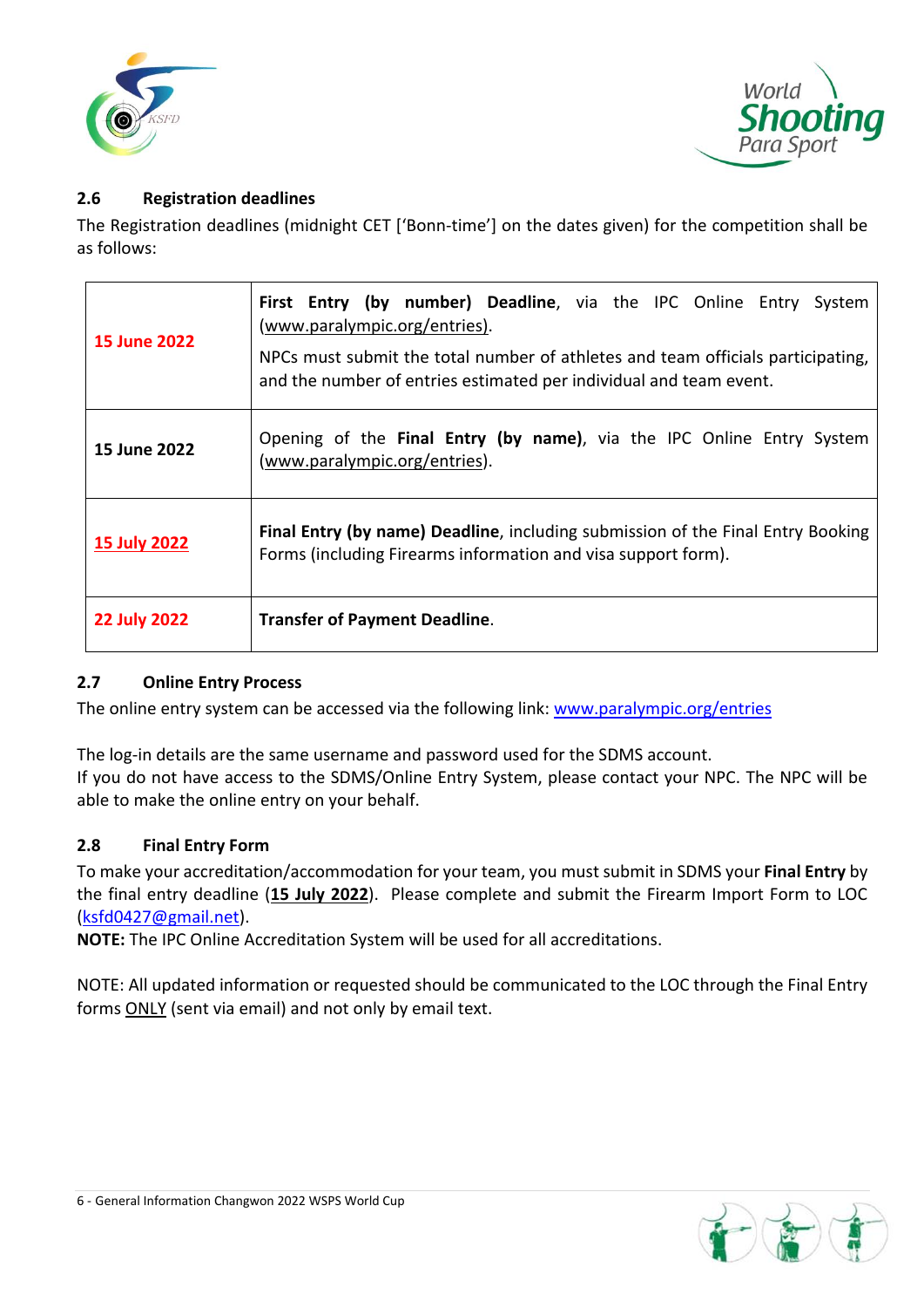



# **2.6 Registration deadlines**

The Registration deadlines (midnight CET ['Bonn-time'] on the dates given) for the competition shall be as follows:

| <b>15 June 2022</b> | First Entry (by number) Deadline, via the IPC Online Entry System<br>(www.paralympic.org/entries).<br>NPCs must submit the total number of athletes and team officials participating,<br>and the number of entries estimated per individual and team event. |  |  |  |  |  |
|---------------------|-------------------------------------------------------------------------------------------------------------------------------------------------------------------------------------------------------------------------------------------------------------|--|--|--|--|--|
| 15 June 2022        | Opening of the Final Entry (by name), via the IPC Online Entry System<br>(www.paralympic.org/entries).                                                                                                                                                      |  |  |  |  |  |
| <b>15 July 2022</b> | <b>Final Entry (by name) Deadline, including submission of the Final Entry Booking</b><br>Forms (including Firearms information and visa support form).                                                                                                     |  |  |  |  |  |
| <b>22 July 2022</b> | <b>Transfer of Payment Deadline.</b>                                                                                                                                                                                                                        |  |  |  |  |  |

# **2.7 Online Entry Process**

The online entry system can be accessed via the following link: [www.paralympic.org/entries](http://www.paralympic.org/entries)

The log-in details are the same username and password used for the SDMS account. If you do not have access to the SDMS/Online Entry System, please contact your NPC. The NPC will be able to make the online entry on your behalf.

# **2.8 Final Entry Form**

To make your accreditation/accommodation for your team, you must submit in SDMS your **Final Entry** by the final entry deadline (**15 July 2022**). Please complete and submit the Firearm Import Form to LOC [\(ksfd0427@gmail.net\)](mailto:ksfd0427@gmail.net).

**NOTE:** The IPC Online Accreditation System will be used for all accreditations.

NOTE: All updated information or requested should be communicated to the LOC through the Final Entry forms ONLY (sent via email) and not only by email text.

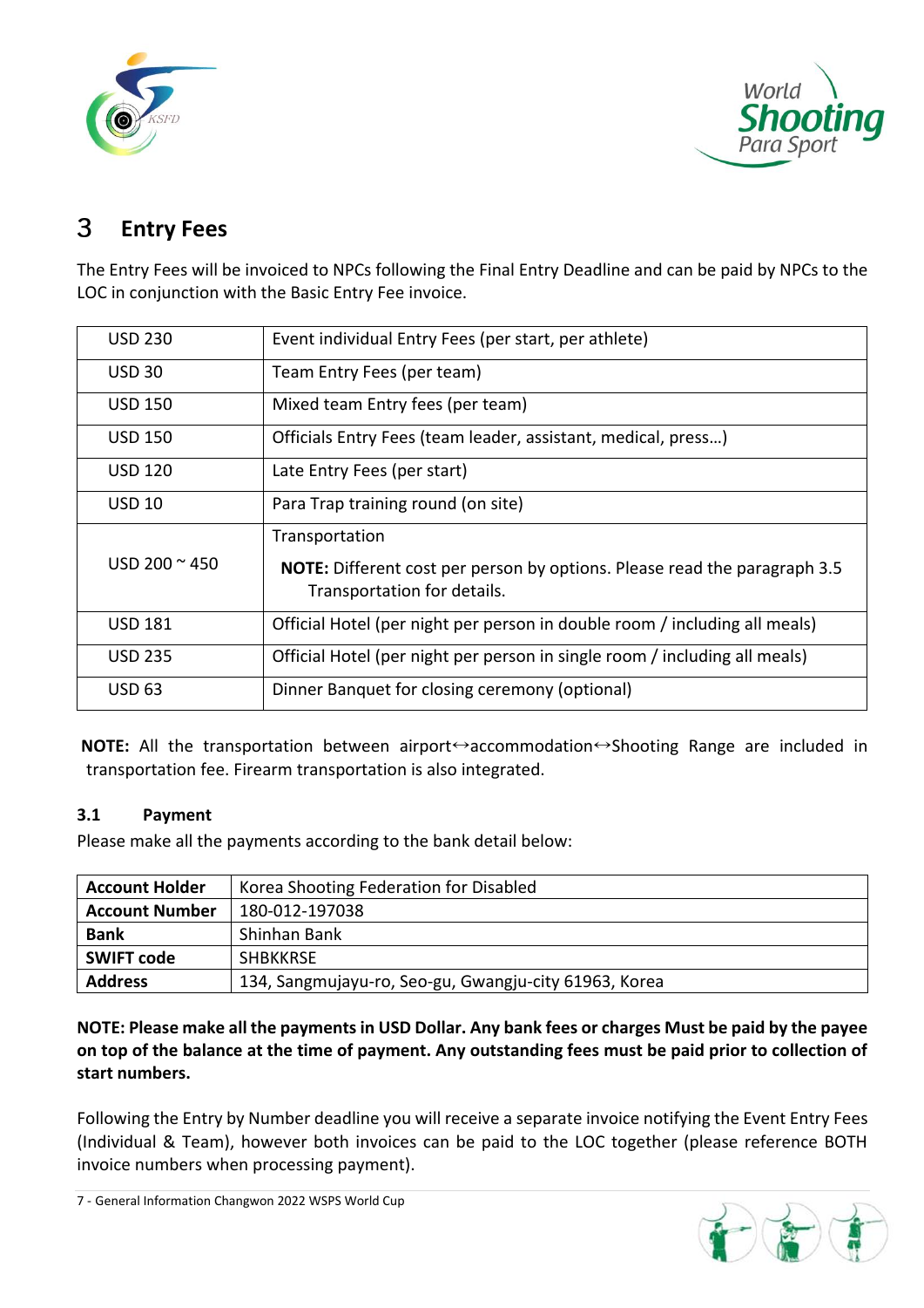



#### 3 **Entry Fees**

The Entry Fees will be invoiced to NPCs following the Final Entry Deadline and can be paid by NPCs to the LOC in conjunction with the Basic Entry Fee invoice.

| <b>USD 230</b>        | Event individual Entry Fees (per start, per athlete)                                                                       |
|-----------------------|----------------------------------------------------------------------------------------------------------------------------|
| <b>USD 30</b>         | Team Entry Fees (per team)                                                                                                 |
| <b>USD 150</b>        | Mixed team Entry fees (per team)                                                                                           |
| <b>USD 150</b>        | Officials Entry Fees (team leader, assistant, medical, press)                                                              |
| <b>USD 120</b>        | Late Entry Fees (per start)                                                                                                |
| <b>USD 10</b>         | Para Trap training round (on site)                                                                                         |
| USD 200 $\approx$ 450 | Transportation<br>NOTE: Different cost per person by options. Please read the paragraph 3.5<br>Transportation for details. |
| <b>USD 181</b>        | Official Hotel (per night per person in double room / including all meals)                                                 |
| <b>USD 235</b>        | Official Hotel (per night per person in single room / including all meals)                                                 |
| <b>USD 63</b>         | Dinner Banquet for closing ceremony (optional)                                                                             |

**NOTE:** All the transportation between airport↔accommodation↔Shooting Range are included in transportation fee. Firearm transportation is also integrated.

# **3.1 Payment**

Please make all the payments according to the bank detail below:

| <b>Account Holder</b> | Korea Shooting Federation for Disabled                |
|-----------------------|-------------------------------------------------------|
| <b>Account Number</b> | 180-012-197038                                        |
| <b>Bank</b>           | Shinhan Bank                                          |
| <b>SWIFT code</b>     | <b>SHBKKRSE</b>                                       |
| <b>Address</b>        | 134, Sangmujayu-ro, Seo-gu, Gwangju-city 61963, Korea |

**NOTE: Please make all the payments in USD Dollar. Any bank fees or charges Must be paid by the payee on top of the balance at the time of payment. Any outstanding fees must be paid prior to collection of start numbers.**

Following the Entry by Number deadline you will receive a separate invoice notifying the Event Entry Fees (Individual & Team), however both invoices can be paid to the LOC together (please reference BOTH invoice numbers when processing payment).



7 - General Information Changwon 2022 WSPS World Cup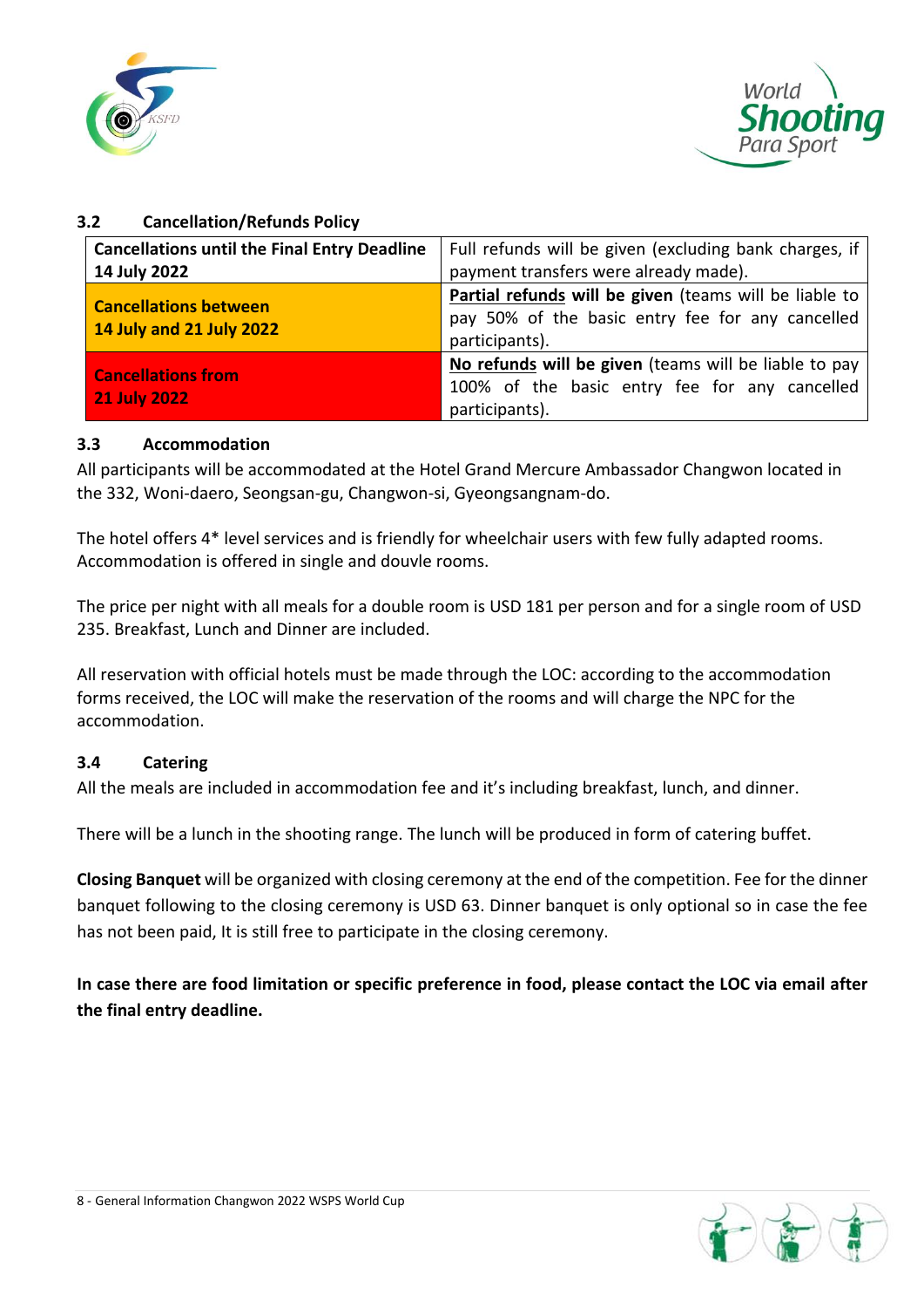



# **3.2 Cancellation/Refunds Policy**

| <b>Cancellations until the Final Entry Deadline</b> | Full refunds will be given (excluding bank charges, if        |  |  |  |  |  |  |
|-----------------------------------------------------|---------------------------------------------------------------|--|--|--|--|--|--|
| 14 July 2022                                        | payment transfers were already made).                         |  |  |  |  |  |  |
| <b>Cancellations between</b>                        | <b>Partial refunds will be given</b> (teams will be liable to |  |  |  |  |  |  |
| 14 July and 21 July 2022                            | pay 50% of the basic entry fee for any cancelled              |  |  |  |  |  |  |
|                                                     | participants).                                                |  |  |  |  |  |  |
|                                                     | No refunds will be given (teams will be liable to pay         |  |  |  |  |  |  |
| <b>Cancellations from</b>                           | 100% of the basic entry fee for any cancelled                 |  |  |  |  |  |  |
| <b>21 July 2022</b>                                 | participants).                                                |  |  |  |  |  |  |

### **3.3 Accommodation**

All participants will be accommodated at the Hotel Grand Mercure Ambassador Changwon located in the 332, Woni-daero, Seongsan-gu, Changwon-si, Gyeongsangnam-do.

The hotel offers 4\* level services and is friendly for wheelchair users with few fully adapted rooms. Accommodation is offered in single and douvle rooms.

The price per night with all meals for a double room is USD 181 per person and for a single room of USD 235. Breakfast, Lunch and Dinner are included.

All reservation with official hotels must be made through the LOC: according to the accommodation forms received, the LOC will make the reservation of the rooms and will charge the NPC for the accommodation.

# **3.4 Catering**

All the meals are included in accommodation fee and it's including breakfast, lunch, and dinner.

There will be a lunch in the shooting range. The lunch will be produced in form of catering buffet.

**Closing Banquet** will be organized with closing ceremony at the end of the competition. Fee for the dinner banquet following to the closing ceremony is USD 63. Dinner banquet is only optional so in case the fee has not been paid, It is still free to participate in the closing ceremony.

**In case there are food limitation or specific preference in food, please contact the LOC via email after the final entry deadline.**

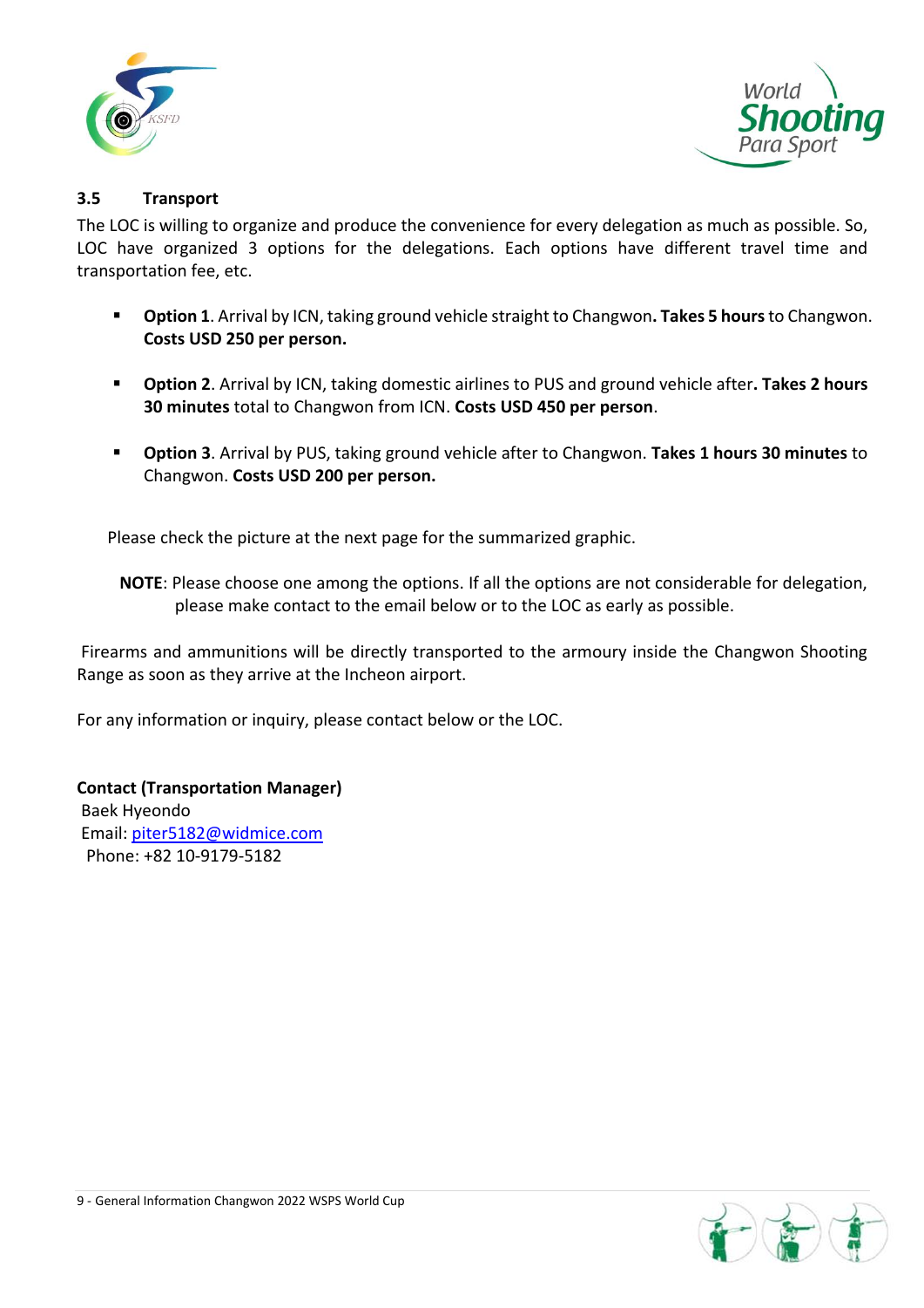



### **3.5 Transport**

The LOC is willing to organize and produce the convenience for every delegation as much as possible. So, LOC have organized 3 options for the delegations. Each options have different travel time and transportation fee, etc.

- **Option 1**. Arrival by ICN, taking ground vehicle straight to Changwon**. Takes 5 hours**to Changwon. **Costs USD 250 per person.**
- **Option 2**. Arrival by ICN, taking domestic airlines to PUS and ground vehicle after**. Takes 2 hours 30 minutes** total to Changwon from ICN. **Costs USD 450 per person**.
- **Option 3**. Arrival by PUS, taking ground vehicle after to Changwon. **Takes 1 hours 30 minutes** to Changwon. **Costs USD 200 per person.**

Please check the picture at the next page for the summarized graphic.

**NOTE**: Please choose one among the options. If all the options are not considerable for delegation, please make contact to the email below or to the LOC as early as possible.

Firearms and ammunitions will be directly transported to the armoury inside the Changwon Shooting Range as soon as they arrive at the Incheon airport.

For any information or inquiry, please contact below or the LOC.

**Contact (Transportation Manager)** Baek Hyeondo Email: [piter5182@widmice.com](mailto:piter5182@widmice.com) Phone: +82 10-9179-5182

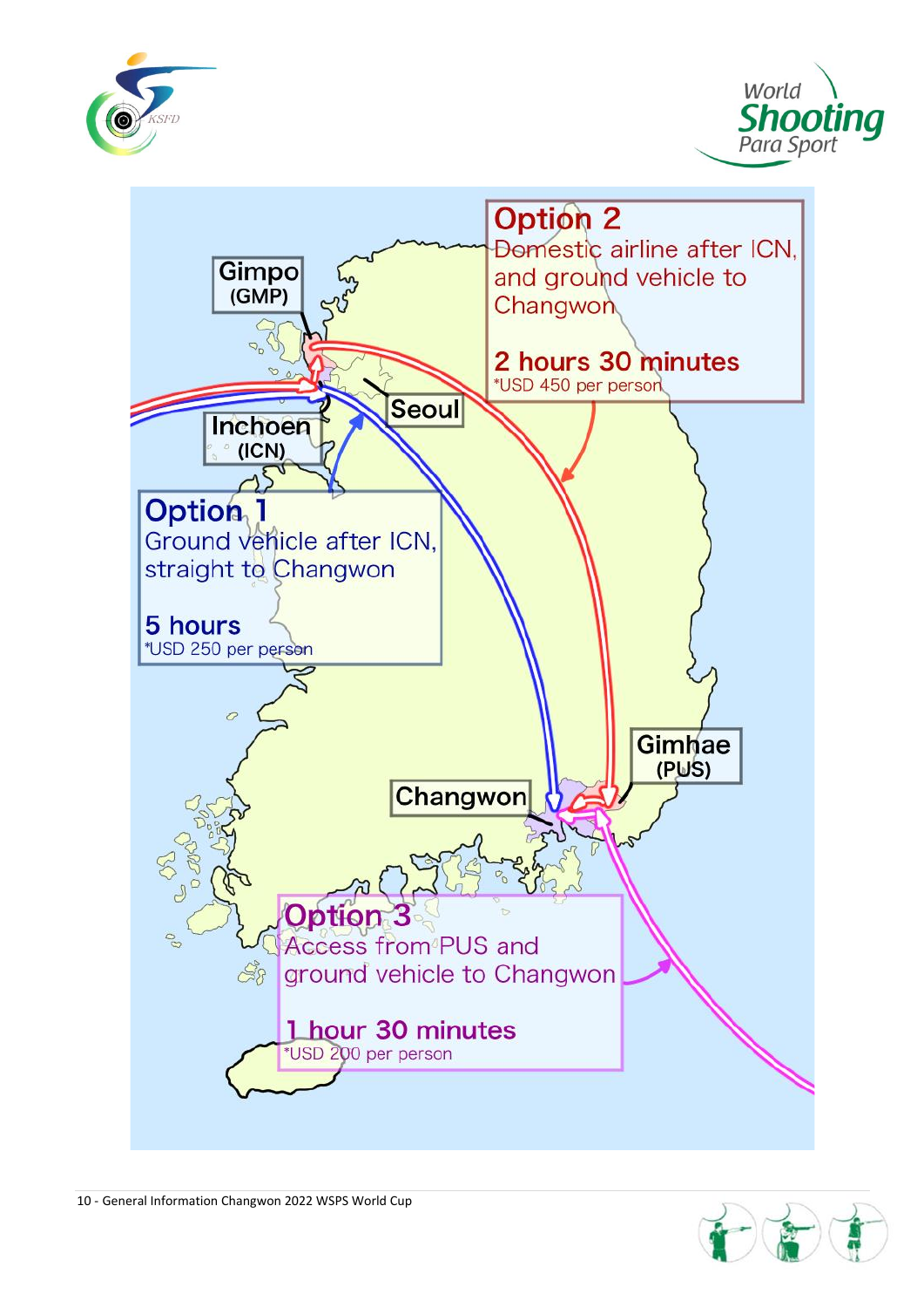





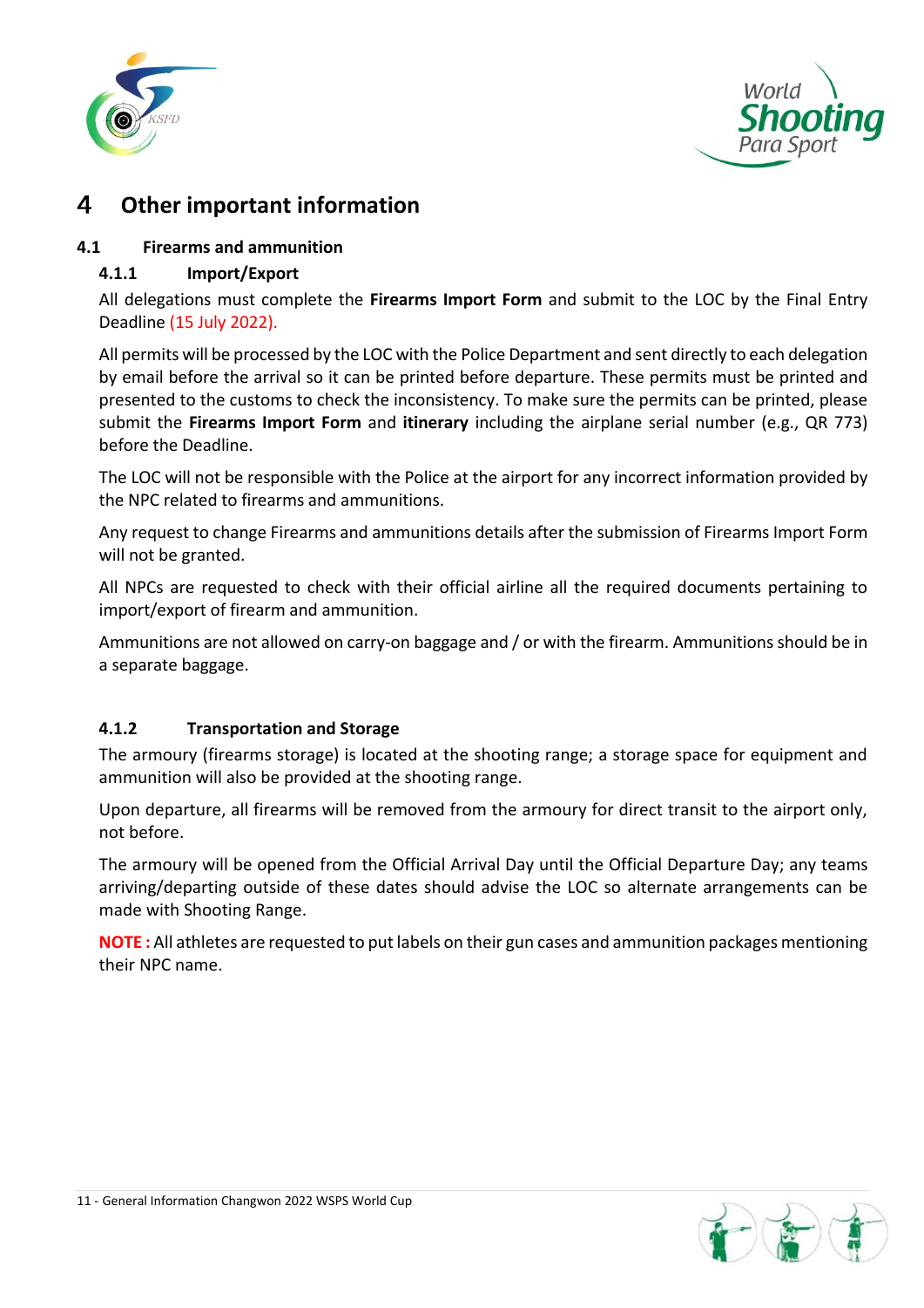



# **Other important information**

# **4.1 Firearms and ammunition**

# **4.1.1 Import/Export**

All delegations must complete the **Firearms Import Form** and submit to the LOC by the Final Entry Deadline (15 July 2022).

All permits will be processed by the LOC with the Police Department and sent directly to each delegation by email before the arrival so it can be printed before departure. These permits must be printed and presented to the customs to check the inconsistency. To make sure the permits can be printed, please submit the **Firearms Import Form** and **itinerary** including the airplane serial number (e.g., QR 773) before the Deadline.

The LOC will not be responsible with the Police at the airport for any incorrect information provided by the NPC related to firearms and ammunitions.

Any request to change Firearms and ammunitions details after the submission of Firearms Import Form will not be granted.

All NPCs are requested to check with their official airline all the required documents pertaining to import/export of firearm and ammunition.

Ammunitions are not allowed on carry-on baggage and / or with the firearm. Ammunitions should be in a separate baggage.

# **4.1.2 Transportation and Storage**

The armoury (firearms storage) is located at the shooting range; a storage space for equipment and ammunition will also be provided at the shooting range.

Upon departure, all firearms will be removed from the armoury for direct transit to the airport only, not before.

The armoury will be opened from the Official Arrival Day until the Official Departure Day; any teams arriving/departing outside of these dates should advise the LOC so alternate arrangements can be made with Shooting Range.

**NOTE :** All athletes are requested to put labels on their gun cases and ammunition packages mentioning their NPC name.

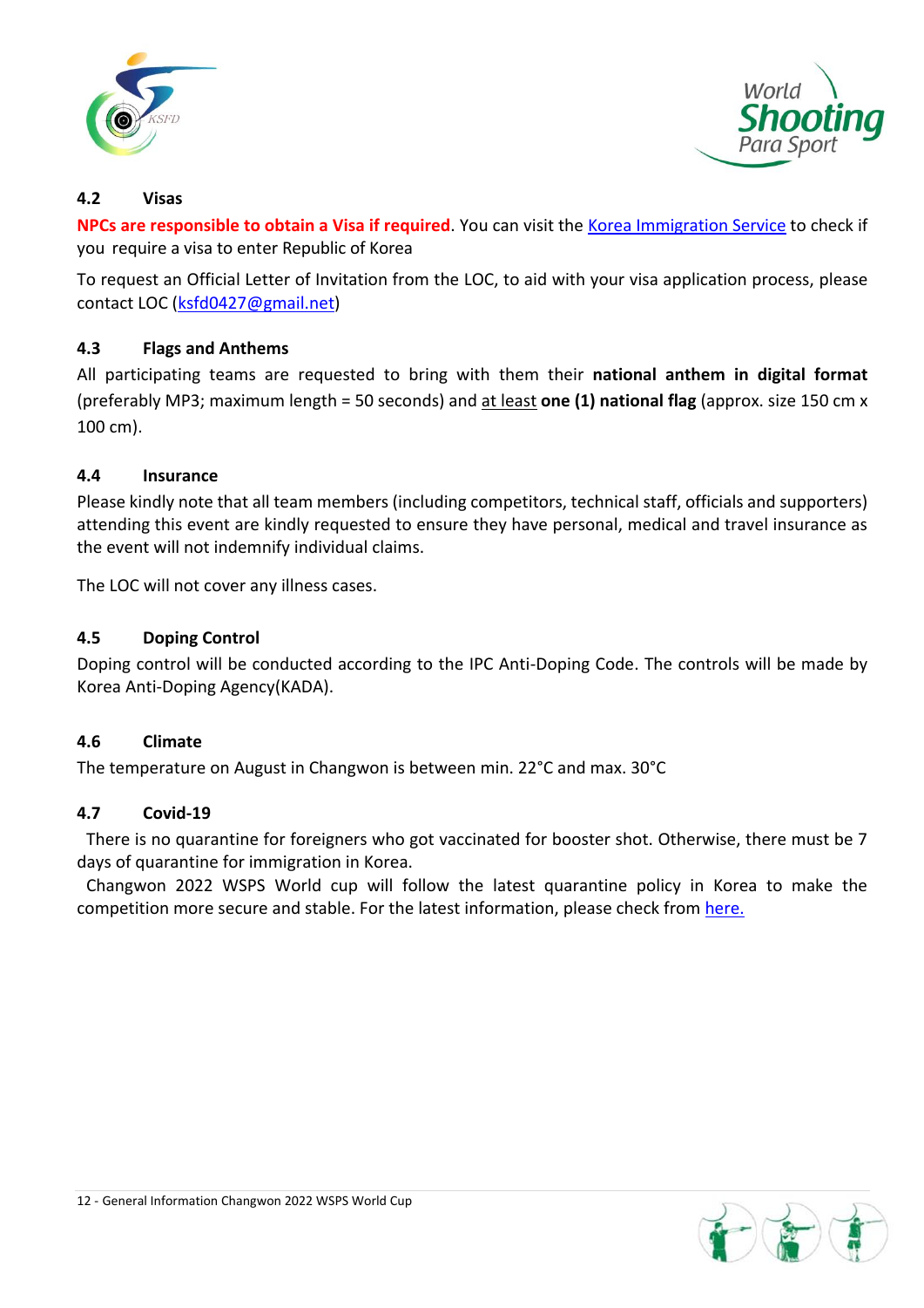



### **4.2 Visas**

**NPCs are responsible to obtain a Visa if required**. You can visit the [Korea Immigration Service](https://www.immigration.go.kr/immigration_eng/index.do) to check if you require a visa to enter Republic of Korea

To request an Official Letter of Invitation from the LOC, to aid with your visa application process, please contact LOC [\(ksfd0427@gmail.net\)](mailto:ksfd0427@gmail.net)

# **4.3 Flags and Anthems**

All participating teams are requested to bring with them their **national anthem in digital format** (preferably MP3; maximum length = 50 seconds) and at least **one (1) national flag** (approx. size 150 cm x 100 cm).

### **4.4 Insurance**

Please kindly note that all team members (including competitors, technical staff, officials and supporters) attending this event are kindly requested to ensure they have personal, medical and travel insurance as the event will not indemnify individual claims.

The LOC will not cover any illness cases.

### **4.5 Doping Control**

Doping control will be conducted according to the IPC Anti-Doping Code. The controls will be made by Korea Anti-Doping Agency(KADA).

### **4.6 Climate**

The temperature on August in Changwon is between min. 22°C and max. 30°C

### **4.7 Covid-19**

There is no quarantine for foreigners who got vaccinated for booster shot. Otherwise, there must be 7 days of quarantine for immigration in Korea.

Changwon 2022 WSPS World cup will follow the latest quarantine policy in Korea to make the competition more secure and stable. For the latest information, please check from [here.](https://kdca.go.kr/index.es?sid=a3)